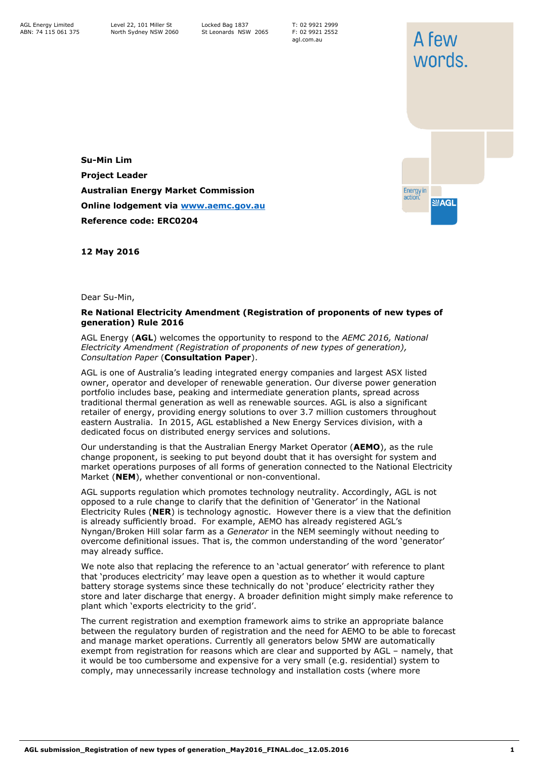T: 02 9921 2999 F: 02 9921 2552 agl.com.au

**Su-Min Lim Project Leader Australian Energy Market Commission Online lodgement via [www.aemc.gov.au](http://www.aemc.gov.au/) Reference code: ERC0204**



**12 May 2016**

Dear Su-Min,

## **Re National Electricity Amendment (Registration of proponents of new types of generation) Rule 2016**

AGL Energy (**AGL**) welcomes the opportunity to respond to the *AEMC 2016, National Electricity Amendment (Registration of proponents of new types of generation), Consultation Paper* (**Consultation Paper**).

AGL is one of Australia's leading integrated energy companies and largest ASX listed owner, operator and developer of renewable generation. Our diverse power generation portfolio includes base, peaking and intermediate generation plants, spread across traditional thermal generation as well as renewable sources. AGL is also a significant retailer of energy, providing energy solutions to over 3.7 million customers throughout eastern Australia. In 2015, AGL established a New Energy Services division, with a dedicated focus on distributed energy services and solutions.

Our understanding is that the Australian Energy Market Operator (**AEMO**), as the rule change proponent, is seeking to put beyond doubt that it has oversight for system and market operations purposes of all forms of generation connected to the National Electricity Market (**NEM**), whether conventional or non-conventional.

AGL supports regulation which promotes technology neutrality. Accordingly, AGL is not opposed to a rule change to clarify that the definition of 'Generator' in the National Electricity Rules (**NER**) is technology agnostic. However there is a view that the definition is already sufficiently broad. For example, AEMO has already registered AGL's Nyngan/Broken Hill solar farm as a *Generator* in the NEM seemingly without needing to overcome definitional issues. That is, the common understanding of the word 'generator' may already suffice.

We note also that replacing the reference to an 'actual generator' with reference to plant that 'produces electricity' may leave open a question as to whether it would capture battery storage systems since these technically do not 'produce' electricity rather they store and later discharge that energy. A broader definition might simply make reference to plant which 'exports electricity to the grid'.

The current registration and exemption framework aims to strike an appropriate balance between the regulatory burden of registration and the need for AEMO to be able to forecast and manage market operations. Currently all generators below 5MW are automatically exempt from registration for reasons which are clear and supported by AGL – namely, that it would be too cumbersome and expensive for a very small (e.g. residential) system to comply, may unnecessarily increase technology and installation costs (where more